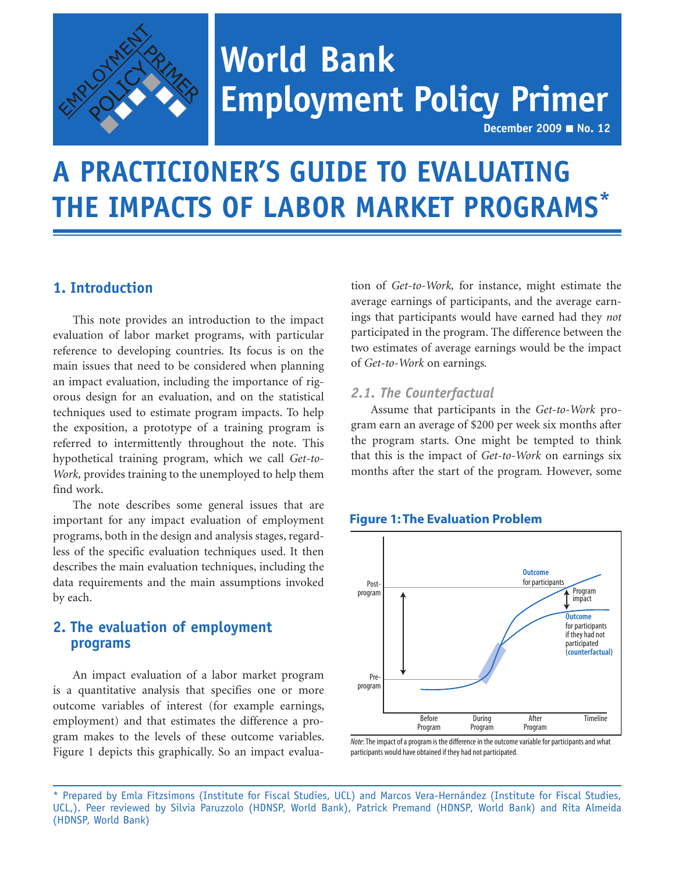

# **World Bank Employment Policy Primer**

**December 2009** ■ **No. 12**

## **A PRACTICIONER'S GUIDE TO EVALUATING THE IMPACTS OF LABOR MARKET PROGRAMS\***

## **1. Introduction**

This note provides an introduction to the impact evaluation of labor market programs, with particular reference to developing countries. Its focus is on the main issues that need to be considered when planning an impact evaluation, including the importance of rigorous design for an evaluation, and on the statistical techniques used to estimate program impacts. To help the exposition, a prototype of a training program is referred to intermittently throughout the note. This hypothetical training program, which we call *Get-to-Work,* provides training to the unemployed to help them find work.

The note describes some general issues that are important for any impact evaluation of employment programs, both in the design and analysis stages, regardless of the specific evaluation techniques used. It then describes the main evaluation techniques, including the data requirements and the main assumptions invoked by each.

## **2. The evaluation of employment programs**

An impact evaluation of a labor market program is a quantitative analysis that specifies one or more outcome variables of interest (for example earnings, employment) and that estimates the difference a program makes to the levels of these outcome variables. Figure 1 depicts this graphically. So an impact evaluation of *Get-to-Work,* for instance, might estimate the average earnings of participants, and the average earnings that participants would have earned had they *not*  participated in the program. The difference between the two estimates of average earnings would be the impact of *Get-to-Work* on earnings*.*

#### *2.1. The Counterfactual*

Assume that participants in the *Get-to-Work* program earn an average of \$200 per week six months after the program starts. One might be tempted to think that this is the impact of *Get-to-Work* on earnings six months after the start of the program*.* However, some



#### **Figure 1: The Evaluation Problem**

*Note*: The impact of a program is the difference in the outcome variable for participants and what participants would have obtained if they had not participated.

<sup>\*</sup> Prepared by Emla Fitzsimons (Institute for Fiscal Studies, UCL) and Marcos Vera-Hernández (Institute for Fiscal Studies, UCL,). Peer reviewed by Silvia Paruzzolo (HDNSP, World Bank), Patrick Premand (HDNSP, World Bank) and Rita Almeida (HDNSP, World Bank)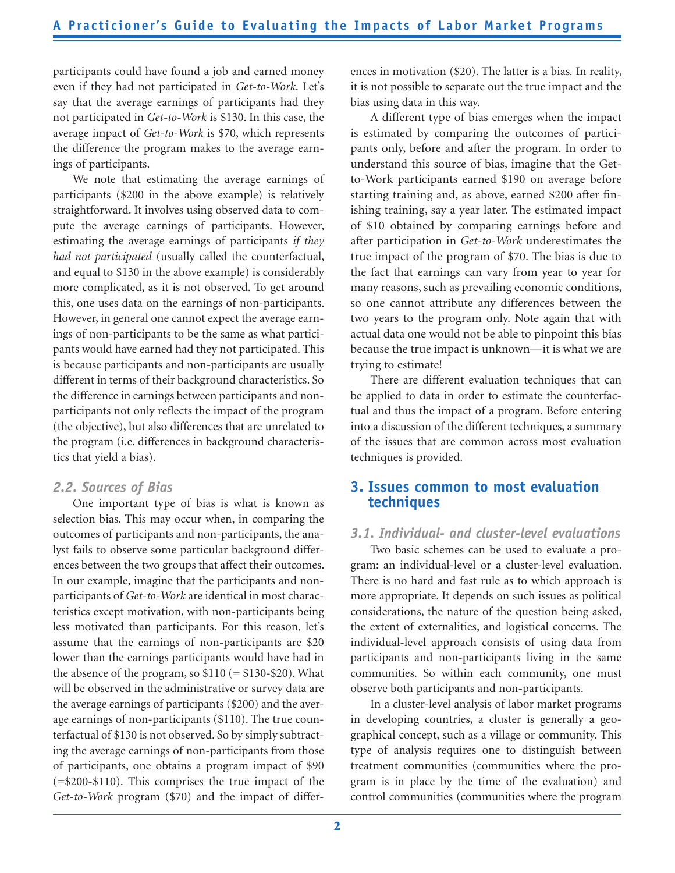participants could have found a job and earned money even if they had not participated in *Get-to-Work*. Let's say that the average earnings of participants had they not participated in *Get-to-Work* is \$130. In this case, the average impact of *Get-to-Work* is \$70, which represents the difference the program makes to the average earnings of participants.

We note that estimating the average earnings of participants (\$200 in the above example) is relatively straightforward. It involves using observed data to compute the average earnings of participants. However, estimating the average earnings of participants *if they had not participated* (usually called the counterfactual, and equal to \$130 in the above example) is considerably more complicated, as it is not observed. To get around this, one uses data on the earnings of non-participants. However, in general one cannot expect the average earnings of non-participants to be the same as what participants would have earned had they not participated. This is because participants and non-participants are usually different in terms of their background characteristics. So the difference in earnings between participants and nonparticipants not only reflects the impact of the program (the objective), but also differences that are unrelated to the program (i.e. differences in background characteristics that yield a bias).

#### *2.2. Sources of Bias*

One important type of bias is what is known as selection bias. This may occur when, in comparing the outcomes of participants and non-participants, the analyst fails to observe some particular background differences between the two groups that affect their outcomes. In our example, imagine that the participants and nonparticipants of *Get-to-Work* are identical in most characteristics except motivation, with non-participants being less motivated than participants. For this reason, let's assume that the earnings of non-participants are \$20 lower than the earnings participants would have had in the absence of the program, so  $$110 (= $130 - $20)$ . What will be observed in the administrative or survey data are the average earnings of participants (\$200) and the average earnings of non-participants (\$110). The true counterfactual of \$130 is not observed. So by simply subtracting the average earnings of non-participants from those of participants, one obtains a program impact of \$90 (=\$200-\$110). This comprises the true impact of the *Get-to-Work* program (\$70) and the impact of differences in motivation (\$20). The latter is a bias*.* In reality, it is not possible to separate out the true impact and the bias using data in this way.

A different type of bias emerges when the impact is estimated by comparing the outcomes of participants only, before and after the program. In order to understand this source of bias, imagine that the Getto-Work participants earned \$190 on average before starting training and, as above, earned \$200 after finishing training, say a year later. The estimated impact of \$10 obtained by comparing earnings before and after participation in *Get-to-Work* underestimates the true impact of the program of \$70. The bias is due to the fact that earnings can vary from year to year for many reasons, such as prevailing economic conditions, so one cannot attribute any differences between the two years to the program only. Note again that with actual data one would not be able to pinpoint this bias because the true impact is unknown—it is what we are trying to estimate!

There are different evaluation techniques that can be applied to data in order to estimate the counterfactual and thus the impact of a program. Before entering into a discussion of the different techniques, a summary of the issues that are common across most evaluation techniques is provided.

## **3. Issues common to most evaluation techniques**

#### *3.1. Individual- and cluster-level evaluations*

Two basic schemes can be used to evaluate a program: an individual-level or a cluster-level evaluation. There is no hard and fast rule as to which approach is more appropriate. It depends on such issues as political considerations, the nature of the question being asked, the extent of externalities, and logistical concerns. The individual-level approach consists of using data from participants and non-participants living in the same communities. So within each community, one must observe both participants and non-participants.

In a cluster-level analysis of labor market programs in developing countries, a cluster is generally a geographical concept, such as a village or community. This type of analysis requires one to distinguish between treatment communities (communities where the program is in place by the time of the evaluation) and control communities (communities where the program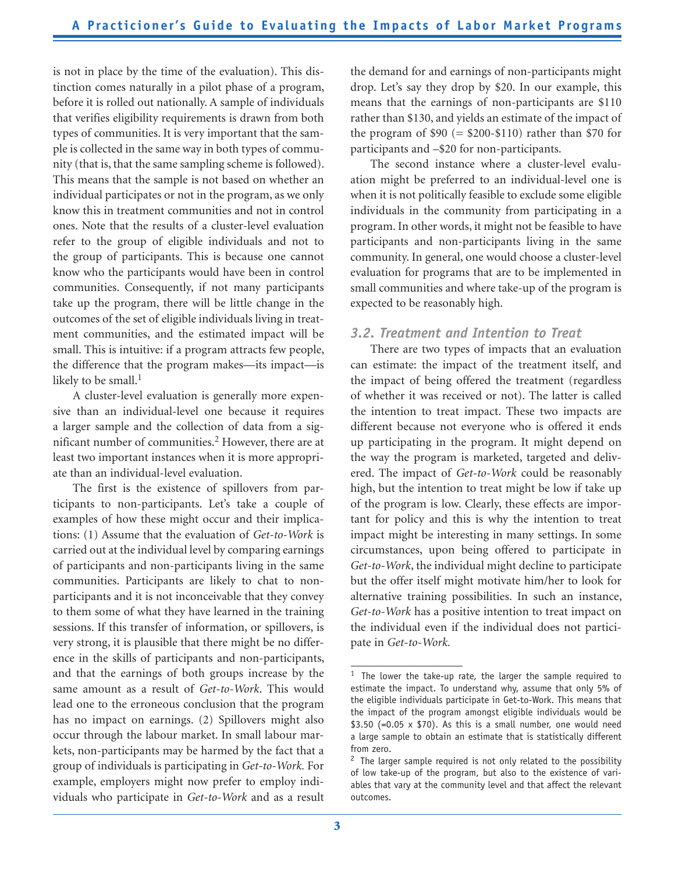is not in place by the time of the evaluation). This distinction comes naturally in a pilot phase of a program, before it is rolled out nationally. A sample of individuals that verifies eligibility requirements is drawn from both types of communities. It is very important that the sample is collected in the same way in both types of community (that is, that the same sampling scheme is followed). This means that the sample is not based on whether an individual participates or not in the program, as we only know this in treatment communities and not in control ones. Note that the results of a cluster-level evaluation refer to the group of eligible individuals and not to the group of participants. This is because one cannot know who the participants would have been in control communities. Consequently, if not many participants take up the program, there will be little change in the outcomes of the set of eligible individuals living in treatment communities, and the estimated impact will be small. This is intuitive: if a program attracts few people, the difference that the program makes—its impact—is likely to be small.<sup>1</sup>

A cluster-level evaluation is generally more expensive than an individual-level one because it requires a larger sample and the collection of data from a significant number of communities.<sup>2</sup> However, there are at least two important instances when it is more appropriate than an individual-level evaluation.

The first is the existence of spillovers from participants to non-participants. Let's take a couple of examples of how these might occur and their implications: (1) Assume that the evaluation of *Get-to-Work* is carried out at the individual level by comparing earnings of participants and non-participants living in the same communities. Participants are likely to chat to nonparticipants and it is not inconceivable that they convey to them some of what they have learned in the training sessions. If this transfer of information, or spillovers, is very strong, it is plausible that there might be no difference in the skills of participants and non-participants, and that the earnings of both groups increase by the same amount as a result of *Get-to-Work*. This would lead one to the erroneous conclusion that the program has no impact on earnings. (2) Spillovers might also occur through the labour market. In small labour markets, non-participants may be harmed by the fact that a group of individuals is participating in *Get-to-Work.* For example, employers might now prefer to employ individuals who participate in *Get-to-Work* and as a result

the demand for and earnings of non-participants might drop. Let's say they drop by \$20. In our example, this means that the earnings of non-participants are \$110 rather than \$130, and yields an estimate of the impact of the program of  $$90 (= $200 - $110)$  rather than \$70 for participants and –\$20 for non-participants.

The second instance where a cluster-level evaluation might be preferred to an individual-level one is when it is not politically feasible to exclude some eligible individuals in the community from participating in a program. In other words, it might not be feasible to have participants and non-participants living in the same community. In general, one would choose a cluster-level evaluation for programs that are to be implemented in small communities and where take-up of the program is expected to be reasonably high.

#### *3.2. Treatment and Intention to Treat*

There are two types of impacts that an evaluation can estimate: the impact of the treatment itself, and the impact of being offered the treatment (regardless of whether it was received or not). The latter is called the intention to treat impact. These two impacts are different because not everyone who is offered it ends up participating in the program. It might depend on the way the program is marketed, targeted and delivered. The impact of *Get-to-Work* could be reasonably high, but the intention to treat might be low if take up of the program is low. Clearly, these effects are important for policy and this is why the intention to treat impact might be interesting in many settings. In some circumstances, upon being offered to participate in *Get-to-Work*, the individual might decline to participate but the offer itself might motivate him/her to look for alternative training possibilities. In such an instance, *Get-to-Work* has a positive intention to treat impact on the individual even if the individual does not participate in *Get-to-Work.*

<sup>&</sup>lt;sup>1</sup> The lower the take-up rate, the larger the sample required to estimate the impact. To understand why, assume that only 5% of the eligible individuals participate in Get-to-Work. This means that the impact of the program amongst eligible individuals would be \$3.50 (=0.05  $\times$  \$70). As this is a small number, one would need a large sample to obtain an estimate that is statistically different from zero.

 $2$  The larger sample required is not only related to the possibility of low take-up of the program, but also to the existence of variables that vary at the community level and that affect the relevant outcomes.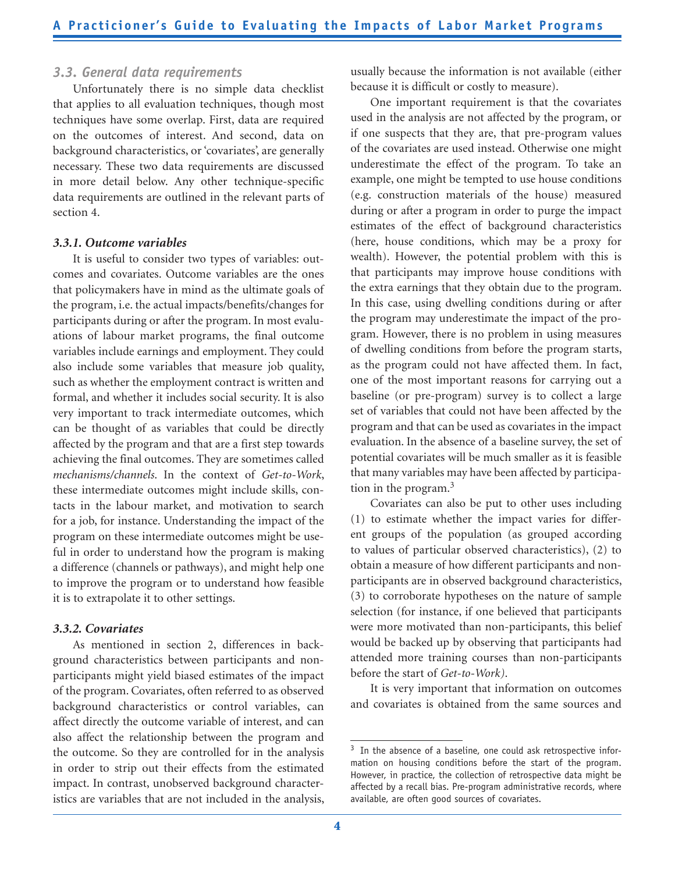#### *3.3. General data requirements*

Unfortunately there is no simple data checklist that applies to all evaluation techniques, though most techniques have some overlap. First, data are required on the outcomes of interest. And second, data on background characteristics, or 'covariates', are generally necessary. These two data requirements are discussed in more detail below. Any other technique-specific data requirements are outlined in the relevant parts of section 4.

#### *3.3.1. Outcome variables*

It is useful to consider two types of variables: outcomes and covariates. Outcome variables are the ones that policymakers have in mind as the ultimate goals of the program, i.e. the actual impacts/benefits/changes for participants during or after the program. In most evaluations of labour market programs, the final outcome variables include earnings and employment. They could also include some variables that measure job quality, such as whether the employment contract is written and formal, and whether it includes social security. It is also very important to track intermediate outcomes, which can be thought of as variables that could be directly affected by the program and that are a first step towards achieving the final outcomes. They are sometimes called *mechanisms/channels*. In the context of *Get-to-Work*, these intermediate outcomes might include skills, contacts in the labour market, and motivation to search for a job, for instance. Understanding the impact of the program on these intermediate outcomes might be useful in order to understand how the program is making a difference (channels or pathways), and might help one to improve the program or to understand how feasible it is to extrapolate it to other settings.

#### *3.3.2. Covariates*

As mentioned in section 2, differences in background characteristics between participants and nonparticipants might yield biased estimates of the impact of the program. Covariates, often referred to as observed background characteristics or control variables, can affect directly the outcome variable of interest, and can also affect the relationship between the program and the outcome. So they are controlled for in the analysis in order to strip out their effects from the estimated impact. In contrast, unobserved background characteristics are variables that are not included in the analysis,

usually because the information is not available (either because it is difficult or costly to measure).

One important requirement is that the covariates used in the analysis are not affected by the program, or if one suspects that they are, that pre-program values of the covariates are used instead. Otherwise one might underestimate the effect of the program. To take an example, one might be tempted to use house conditions (e.g. construction materials of the house) measured during or after a program in order to purge the impact estimates of the effect of background characteristics (here, house conditions, which may be a proxy for wealth). However, the potential problem with this is that participants may improve house conditions with the extra earnings that they obtain due to the program. In this case, using dwelling conditions during or after the program may underestimate the impact of the program. However, there is no problem in using measures of dwelling conditions from before the program starts, as the program could not have affected them. In fact, one of the most important reasons for carrying out a baseline (or pre-program) survey is to collect a large set of variables that could not have been affected by the program and that can be used as covariates in the impact evaluation. In the absence of a baseline survey, the set of potential covariates will be much smaller as it is feasible that many variables may have been affected by participation in the program. $3$ 

Covariates can also be put to other uses including (1) to estimate whether the impact varies for different groups of the population (as grouped according to values of particular observed characteristics), (2) to obtain a measure of how different participants and nonparticipants are in observed background characteristics, (3) to corroborate hypotheses on the nature of sample selection (for instance, if one believed that participants were more motivated than non-participants, this belief would be backed up by observing that participants had attended more training courses than non-participants before the start of *Get-to-Work)*.

It is very important that information on outcomes and covariates is obtained from the same sources and

<sup>&</sup>lt;sup>3</sup> In the absence of a baseline, one could ask retrospective information on housing conditions before the start of the program. However, in practice, the collection of retrospective data might be affected by a recall bias. Pre-program administrative records, where available, are often good sources of covariates.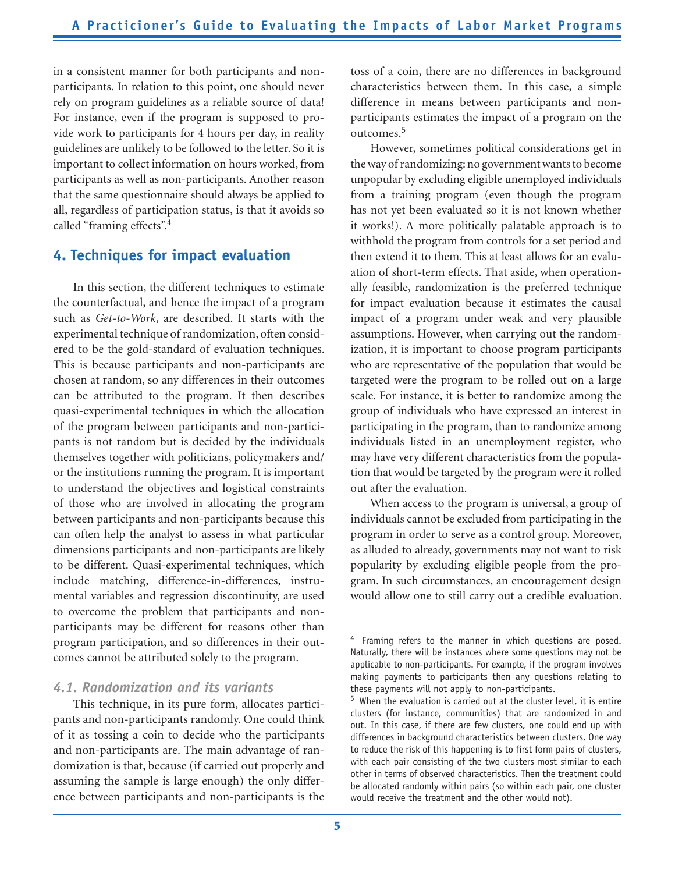in a consistent manner for both participants and nonparticipants. In relation to this point, one should never rely on program guidelines as a reliable source of data! For instance, even if the program is supposed to provide work to participants for 4 hours per day, in reality guidelines are unlikely to be followed to the letter. So it is important to collect information on hours worked, from participants as well as non-participants. Another reason that the same questionnaire should always be applied to all, regardless of participation status, is that it avoids so called "framing effects".<sup>4</sup>

## **4. Techniques for impact evaluation**

In this section, the different techniques to estimate the counterfactual, and hence the impact of a program such as *Get-to-Work*, are described. It starts with the experimental technique of randomization, often considered to be the gold-standard of evaluation techniques. This is because participants and non-participants are chosen at random, so any differences in their outcomes can be attributed to the program. It then describes quasi-experimental techniques in which the allocation of the program between participants and non-participants is not random but is decided by the individuals themselves together with politicians, policymakers and/ or the institutions running the program. It is important to understand the objectives and logistical constraints of those who are involved in allocating the program between participants and non-participants because this can often help the analyst to assess in what particular dimensions participants and non-participants are likely to be different. Quasi-experimental techniques, which include matching, difference-in-differences, instrumental variables and regression discontinuity, are used to overcome the problem that participants and nonparticipants may be different for reasons other than program participation, and so differences in their outcomes cannot be attributed solely to the program.

### *4.1. Randomization and its variants*

This technique, in its pure form, allocates participants and non-participants randomly. One could think of it as tossing a coin to decide who the participants and non-participants are. The main advantage of randomization is that, because (if carried out properly and assuming the sample is large enough) the only difference between participants and non-participants is the

toss of a coin, there are no differences in background characteristics between them. In this case, a simple difference in means between participants and nonparticipants estimates the impact of a program on the outcomes.5

However, sometimes political considerations get in the way of randomizing: no government wants to become unpopular by excluding eligible unemployed individuals from a training program (even though the program has not yet been evaluated so it is not known whether it works!). A more politically palatable approach is to withhold the program from controls for a set period and then extend it to them. This at least allows for an evaluation of short-term effects. That aside, when operationally feasible, randomization is the preferred technique for impact evaluation because it estimates the causal impact of a program under weak and very plausible assumptions. However, when carrying out the randomization, it is important to choose program participants who are representative of the population that would be targeted were the program to be rolled out on a large scale. For instance, it is better to randomize among the group of individuals who have expressed an interest in participating in the program, than to randomize among individuals listed in an unemployment register, who may have very different characteristics from the population that would be targeted by the program were it rolled out after the evaluation.

When access to the program is universal, a group of individuals cannot be excluded from participating in the program in order to serve as a control group. Moreover, as alluded to already, governments may not want to risk popularity by excluding eligible people from the program. In such circumstances, an encouragement design would allow one to still carry out a credible evaluation.

<sup>&</sup>lt;sup>4</sup> Framing refers to the manner in which questions are posed. Naturally, there will be instances where some questions may not be applicable to non-participants. For example, if the program involves making payments to participants then any questions relating to these payments will not apply to non-participants.

<sup>5</sup> When the evaluation is carried out at the cluster level, it is entire clusters (for instance, communities) that are randomized in and out. In this case, if there are few clusters, one could end up with differences in background characteristics between clusters. One way to reduce the risk of this happening is to first form pairs of clusters, with each pair consisting of the two clusters most similar to each other in terms of observed characteristics. Then the treatment could be allocated randomly within pairs (so within each pair, one cluster would receive the treatment and the other would not).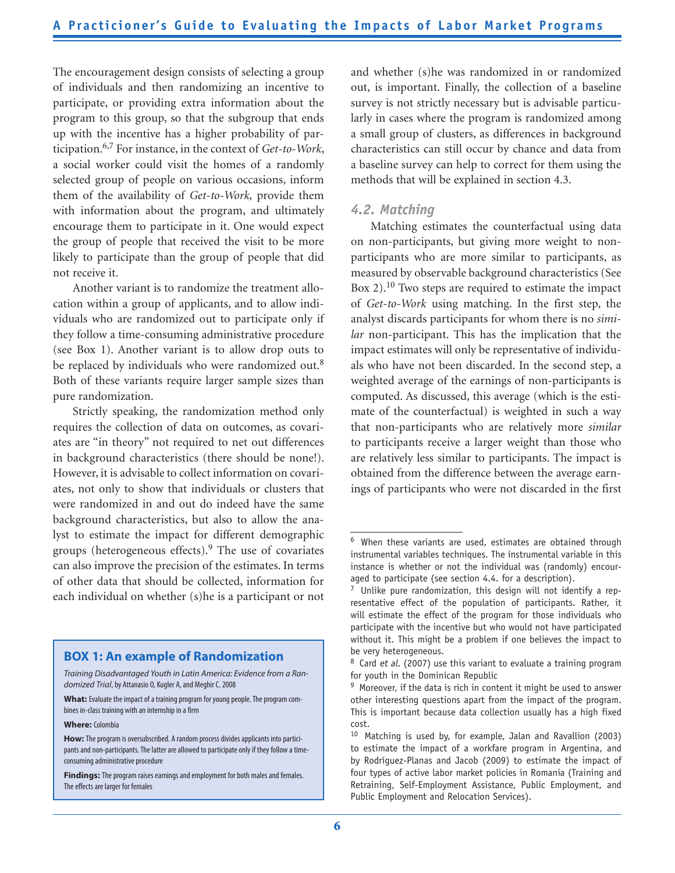The encouragement design consists of selecting a group of individuals and then randomizing an incentive to participate, or providing extra information about the program to this group, so that the subgroup that ends up with the incentive has a higher probability of participation.6,7 For instance, in the context of *Get-to-Work*, a social worker could visit the homes of a randomly selected group of people on various occasions, inform them of the availability of *Get-to-Work,* provide them with information about the program, and ultimately encourage them to participate in it. One would expect the group of people that received the visit to be more likely to participate than the group of people that did not receive it.

Another variant is to randomize the treatment allocation within a group of applicants, and to allow individuals who are randomized out to participate only if they follow a time-consuming administrative procedure (see Box 1). Another variant is to allow drop outs to be replaced by individuals who were randomized out.<sup>8</sup> Both of these variants require larger sample sizes than pure randomization.

Strictly speaking, the randomization method only requires the collection of data on outcomes, as covariates are "in theory" not required to net out differences in background characteristics (there should be none!). However, it is advisable to collect information on covariates, not only to show that individuals or clusters that were randomized in and out do indeed have the same background characteristics, but also to allow the analyst to estimate the impact for different demographic groups (heterogeneous effects).9 The use of covariates can also improve the precision of the estimates. In terms of other data that should be collected, information for each individual on whether (s)he is a participant or not

#### **BOX 1: An example of Randomization**

#### **Where:** Colombia

**Findings:** The program raises earnings and employment for both males and females. The effects are larger for females

and whether (s)he was randomized in or randomized out, is important. Finally, the collection of a baseline survey is not strictly necessary but is advisable particularly in cases where the program is randomized among a small group of clusters, as differences in background characteristics can still occur by chance and data from a baseline survey can help to correct for them using the methods that will be explained in section 4.3.

#### *4.2. Matching*

Matching estimates the counterfactual using data on non-participants, but giving more weight to nonparticipants who are more similar to participants, as measured by observable background characteristics (See Box 2).10 Two steps are required to estimate the impact of *Get-to-Work* using matching. In the first step, the analyst discards participants for whom there is no *similar* non-participant. This has the implication that the impact estimates will only be representative of individuals who have not been discarded. In the second step, a weighted average of the earnings of non-participants is computed. As discussed, this average (which is the estimate of the counterfactual) is weighted in such a way that non-participants who are relatively more *similar* to participants receive a larger weight than those who are relatively less similar to participants. The impact is obtained from the difference between the average earnings of participants who were not discarded in the first

*Training Disadvantaged Youth in Latin America: Evidence from a Randomized Trial*, by Attanasio O, Kugler A, and Meghir C. 2008

**What:** Evaluate the impact of a training program for young people. The program combines in-class training with an internship in a firm

**How:** The program is oversubscribed. A random process divides applicants into participants and non-participants. The latter are allowed to participate only if they follow a timeconsuming administrative procedure

<sup>&</sup>lt;sup>6</sup> When these variants are used, estimates are obtained through instrumental variables techniques. The instrumental variable in this instance is whether or not the individual was (randomly) encouraged to participate (see section 4.4. for a description).

 $7$  Unlike pure randomization, this design will not identify a representative effect of the population of participants. Rather, it will estimate the effect of the program for those individuals who participate with the incentive but who would not have participated without it. This might be a problem if one believes the impact to be very heterogeneous.

 $8$  Card et al. (2007) use this variant to evaluate a training program for youth in the Dominican Republic

 $9$  Moreover, if the data is rich in content it might be used to answer other interesting questions apart from the impact of the program. This is important because data collection usually has a high fixed cost.

 $10$  Matching is used by, for example, Jalan and Ravallion (2003) to estimate the impact of a workfare program in Argentina, and by Rodríguez-Planas and Jacob (2009) to estimate the impact of four types of active labor market policies in Romania (Training and Retraining, Self-Employment Assistance, Public Employment, and Public Employment and Relocation Services).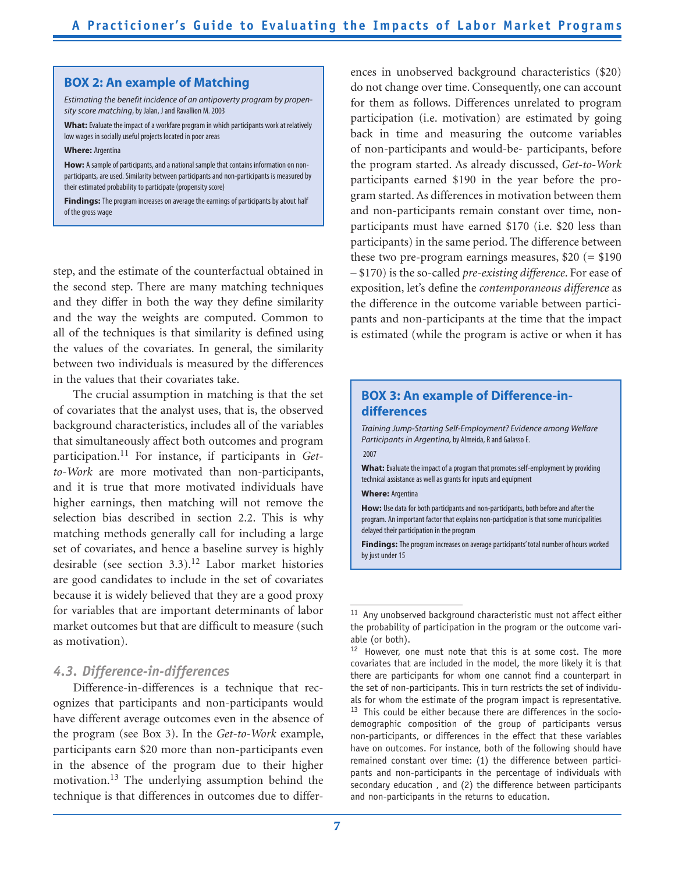#### **BOX 2: An example of Matching**

*Estimating the benefit incidence of an antipoverty program by propensity score matching*, by Jalan, J and Ravallion M. 2003

**What:** Evaluate the impact of a workfare program in which participants work at relatively low wages in socially useful projects located in poor areas

#### **Where:** Argentina

How: A sample of participants, and a national sample that contains information on nonparticipants, are used. Similarity between participants and non-participants is measured by their estimated probability to participate (propensity score)

**Findings:** The program increases on average the earnings of participants by about half of the gross wage

step, and the estimate of the counterfactual obtained in the second step. There are many matching techniques and they differ in both the way they define similarity and the way the weights are computed. Common to all of the techniques is that similarity is defined using the values of the covariates. In general, the similarity between two individuals is measured by the differences in the values that their covariates take.

The crucial assumption in matching is that the set of covariates that the analyst uses, that is, the observed background characteristics, includes all of the variables that simultaneously affect both outcomes and program participation.11 For instance, if participants in *Getto-Work* are more motivated than non-participants, and it is true that more motivated individuals have higher earnings, then matching will not remove the selection bias described in section 2.2. This is why matching methods generally call for including a large set of covariates, and hence a baseline survey is highly desirable (see section  $3.3$ ).<sup>12</sup> Labor market histories are good candidates to include in the set of covariates because it is widely believed that they are a good proxy for variables that are important determinants of labor market outcomes but that are difficult to measure (such as motivation).

#### *4.3. Difference-in-differences*

Difference-in-differences is a technique that recognizes that participants and non-participants would have different average outcomes even in the absence of the program (see Box 3). In the *Get-to-Work* example, participants earn \$20 more than non-participants even in the absence of the program due to their higher motivation.13 The underlying assumption behind the technique is that differences in outcomes due to differ-

ences in unobserved background characteristics (\$20) do not change over time. Consequently, one can account for them as follows. Differences unrelated to program participation (i.e. motivation) are estimated by going back in time and measuring the outcome variables of non-participants and would-be- participants, before the program started. As already discussed, *Get-to-Work*  participants earned \$190 in the year before the program started. As differences in motivation between them and non-participants remain constant over time, nonparticipants must have earned \$170 (i.e. \$20 less than participants) in the same period. The difference between these two pre-program earnings measures,  $$20 (= $190]$ – \$170) is the so-called *pre-existing difference*. For ease of exposition, let's define the *contemporaneous difference* as the difference in the outcome variable between participants and non-participants at the time that the impact is estimated (while the program is active or when it has

#### **BOX 3: An example of Difference-indifferences**

*Training Jump-Starting Self-Employment? Evidence among Welfare Participants in Argentina,* by Almeida, R and Galasso E. 2007 **What:** Evaluate the impact of a program that promotes self-employment by providing technical assistance as well as grants for inputs and equipment

**Where:** Argentina

**How:** Use data for both participants and non-participants, both before and after the program. An important factor that explains non-participation is that some municipalities delayed their participation in the program

**Findings:** The program increases on average participants' total number of hours worked by just under 15

 $11$  Any unobserved background characteristic must not affect either the probability of participation in the program or the outcome variable (or both).

<sup>&</sup>lt;sup>12</sup> However, one must note that this is at some cost. The more covariates that are included in the model, the more likely it is that there are participants for whom one cannot find a counterpart in the set of non-participants. This in turn restricts the set of individuals for whom the estimate of the program impact is representative.  $13$  This could be either because there are differences in the sociodemographic composition of the group of participants versus non-participants, or differences in the effect that these variables have on outcomes. For instance, both of the following should have remained constant over time: (1) the difference between participants and non-participants in the percentage of individuals with secondary education , and (2) the difference between participants and non-participants in the returns to education.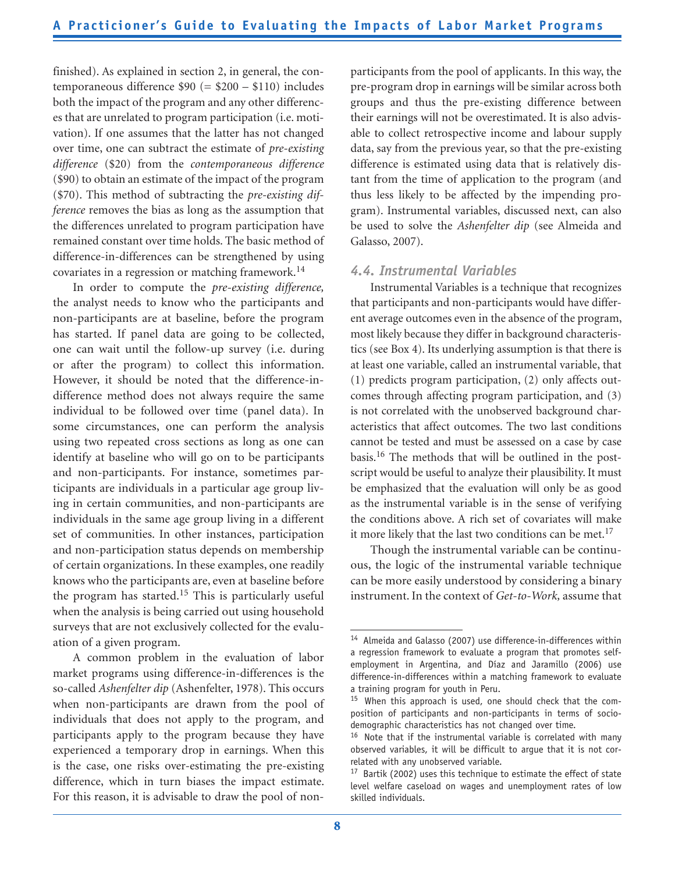finished). As explained in section 2, in general, the contemporaneous difference  $$90 (= $200 - $110)$  includes both the impact of the program and any other differences that are unrelated to program participation (i.e. motivation). If one assumes that the latter has not changed over time, one can subtract the estimate of *pre-existing difference* (\$20) from the *contemporaneous difference* (\$90) to obtain an estimate of the impact of the program (\$70). This method of subtracting the *pre-existing difference* removes the bias as long as the assumption that the differences unrelated to program participation have remained constant over time holds. The basic method of difference-in-differences can be strengthened by using covariates in a regression or matching framework.<sup>14</sup>

In order to compute the *pre-existing difference,*  the analyst needs to know who the participants and non-participants are at baseline, before the program has started. If panel data are going to be collected, one can wait until the follow-up survey (i.e. during or after the program) to collect this information. However, it should be noted that the difference-indifference method does not always require the same individual to be followed over time (panel data). In some circumstances, one can perform the analysis using two repeated cross sections as long as one can identify at baseline who will go on to be participants and non-participants. For instance, sometimes participants are individuals in a particular age group living in certain communities, and non-participants are individuals in the same age group living in a different set of communities. In other instances, participation and non-participation status depends on membership of certain organizations. In these examples, one readily knows who the participants are, even at baseline before the program has started.<sup>15</sup> This is particularly useful when the analysis is being carried out using household surveys that are not exclusively collected for the evaluation of a given program.

A common problem in the evaluation of labor market programs using difference-in-differences is the so-called *Ashenfelter dip* (Ashenfelter, 1978). This occurs when non-participants are drawn from the pool of individuals that does not apply to the program, and participants apply to the program because they have experienced a temporary drop in earnings. When this is the case, one risks over-estimating the pre-existing difference, which in turn biases the impact estimate. For this reason, it is advisable to draw the pool of non-

participants from the pool of applicants. In this way, the pre-program drop in earnings will be similar across both groups and thus the pre-existing difference between their earnings will not be overestimated. It is also advisable to collect retrospective income and labour supply data, say from the previous year, so that the pre-existing difference is estimated using data that is relatively distant from the time of application to the program (and thus less likely to be affected by the impending program). Instrumental variables, discussed next, can also be used to solve the *Ashenfelter dip* (see Almeida and Galasso, 2007).

#### *4.4. Instrumental Variables*

Instrumental Variables is a technique that recognizes that participants and non-participants would have different average outcomes even in the absence of the program, most likely because they differ in background characteristics (see Box 4). Its underlying assumption is that there is at least one variable, called an instrumental variable, that (1) predicts program participation, (2) only affects outcomes through affecting program participation, and (3) is not correlated with the unobserved background characteristics that affect outcomes. The two last conditions cannot be tested and must be assessed on a case by case basis.16 The methods that will be outlined in the postscript would be useful to analyze their plausibility. It must be emphasized that the evaluation will only be as good as the instrumental variable is in the sense of verifying the conditions above. A rich set of covariates will make it more likely that the last two conditions can be met.<sup>17</sup>

Though the instrumental variable can be continuous, the logic of the instrumental variable technique can be more easily understood by considering a binary instrument. In the context of *Get-to-Work,* assume that

<sup>&</sup>lt;sup>14</sup> Almeida and Galasso (2007) use difference-in-differences within a regression framework to evaluate a program that promotes selfemployment in Argentina, and Díaz and Jaramillo (2006) use difference-in-differences within a matching framework to evaluate a training program for youth in Peru.

 $15$  When this approach is used, one should check that the composition of participants and non-participants in terms of sociodemographic characteristics has not changed over time.

 $16$  Note that if the instrumental variable is correlated with many observed variables, it will be difficult to argue that it is not correlated with any unobserved variable.

 $17$  Bartik (2002) uses this technique to estimate the effect of state level welfare caseload on wages and unemployment rates of low skilled individuals.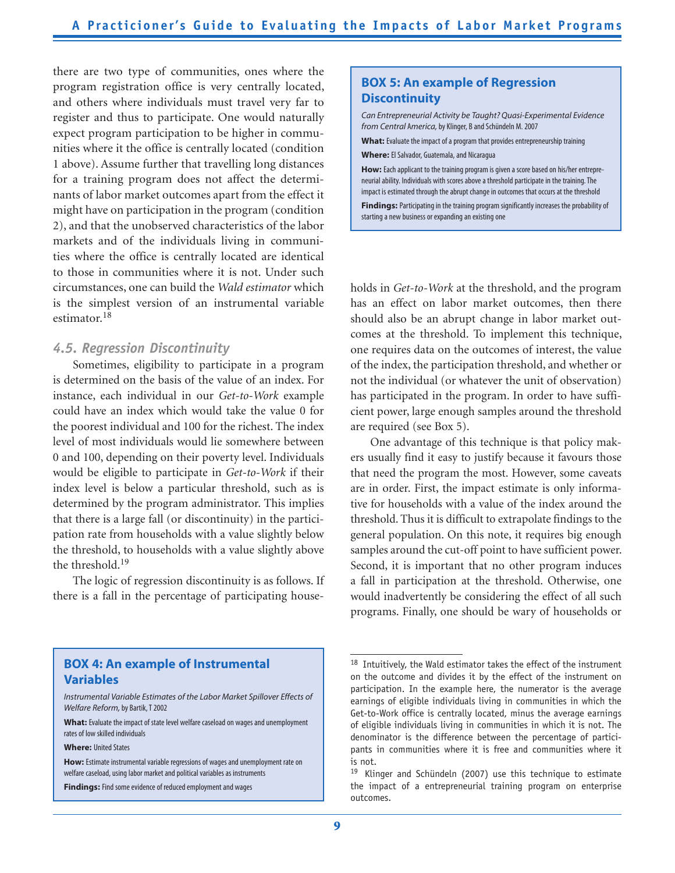there are two type of communities, ones where the program registration office is very centrally located, and others where individuals must travel very far to register and thus to participate. One would naturally expect program participation to be higher in communities where it the office is centrally located (condition 1 above). Assume further that travelling long distances for a training program does not affect the determinants of labor market outcomes apart from the effect it might have on participation in the program (condition 2), and that the unobserved characteristics of the labor markets and of the individuals living in communities where the office is centrally located are identical to those in communities where it is not. Under such circumstances, one can build the *Wald estimator* which is the simplest version of an instrumental variable estimator.<sup>18</sup>

#### *4.5. Regression Discontinuity*

Sometimes, eligibility to participate in a program is determined on the basis of the value of an index. For instance, each individual in our *Get-to-Work* example could have an index which would take the value 0 for the poorest individual and 100 for the richest. The index level of most individuals would lie somewhere between 0 and 100, depending on their poverty level. Individuals would be eligible to participate in *Get-to-Work* if their index level is below a particular threshold, such as is determined by the program administrator. This implies that there is a large fall (or discontinuity) in the participation rate from households with a value slightly below the threshold, to households with a value slightly above the threshold.19

The logic of regression discontinuity is as follows. If there is a fall in the percentage of participating house-

#### **BOX 5: An example of Regression Discontinuity**

*Can Entrepreneurial Activity be Taught? Quasi-Experimental Evidence from Central* A*merica,* by Klinger, B and Schündeln M. 2007

**What:** Evaluate the impact of a program that provides entrepreneurship training **Where:** El Salvador, Guatemala, and Nicaragua

How: Each applicant to the training program is given a score based on his/her entrepreneurial ability. Individuals with scores above a threshold participate in the training. The impact is estimated through the abrupt change in outcomes that occurs at the threshold

**Findings:** Participating in the training program significantly increases the probability of starting a new business or expanding an existing one

holds in *Get-to-Work* at the threshold, and the program has an effect on labor market outcomes, then there should also be an abrupt change in labor market outcomes at the threshold. To implement this technique, one requires data on the outcomes of interest, the value of the index, the participation threshold, and whether or not the individual (or whatever the unit of observation) has participated in the program. In order to have sufficient power, large enough samples around the threshold are required (see Box 5).

One advantage of this technique is that policy makers usually find it easy to justify because it favours those that need the program the most. However, some caveats are in order. First, the impact estimate is only informative for households with a value of the index around the threshold. Thus it is difficult to extrapolate findings to the general population. On this note, it requires big enough samples around the cut-off point to have sufficient power. Second, it is important that no other program induces a fall in participation at the threshold. Otherwise, one would inadvertently be considering the effect of all such programs. Finally, one should be wary of households or

#### **BOX 4: An example of Instrumental Variables**

*Instrumental Variable Estimates of the Labor Market Spillover Effects of Welfare Reform,* by Bartik, T 2002

**What:** Evaluate the impact of state level welfare caseload on wages and unemployment rates of low skilled individuals

**Where:** United States

**How:** Estimate instrumental variable regressions of wages and unemployment rate on welfare caseload, using labor market and political variables as instruments

**Findings:** Find some evidence of reduced employment and wages

<sup>&</sup>lt;sup>18</sup> Intuitively, the Wald estimator takes the effect of the instrument on the outcome and divides it by the effect of the instrument on participation. In the example here, the numerator is the average earnings of eligible individuals living in communities in which the Get-to-Work office is centrally located, minus the average earnings of eligible individuals living in communities in which it is not. The denominator is the difference between the percentage of participants in communities where it is free and communities where it is not.

 $19$  Klinger and Schündeln (2007) use this technique to estimate the impact of a entrepreneurial training program on enterprise outcomes.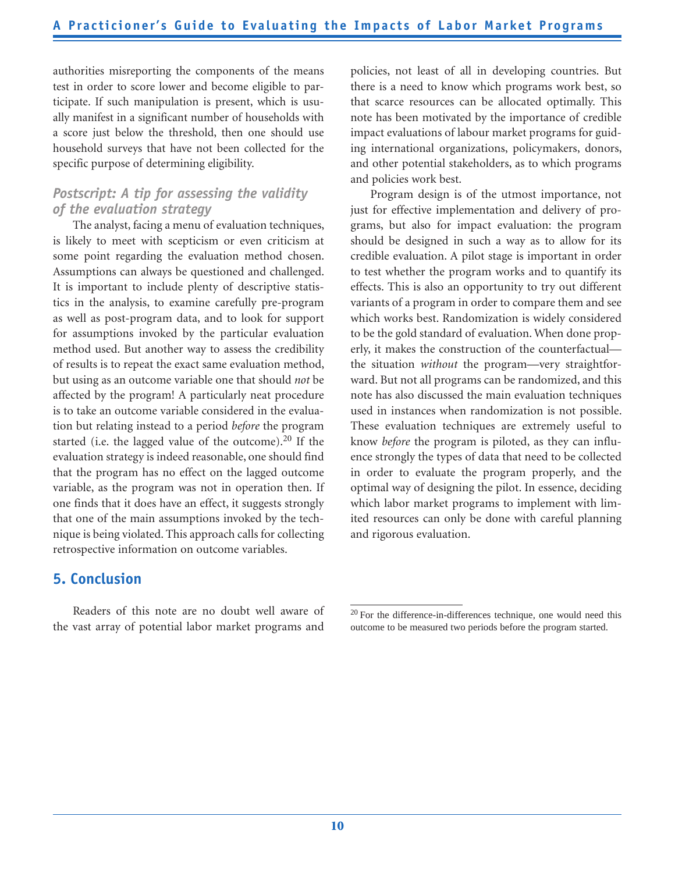authorities misreporting the components of the means test in order to score lower and become eligible to participate. If such manipulation is present, which is usually manifest in a significant number of households with a score just below the threshold, then one should use household surveys that have not been collected for the specific purpose of determining eligibility.

## *Postscript: A tip for assessing the validity of the evaluation strategy*

The analyst, facing a menu of evaluation techniques, is likely to meet with scepticism or even criticism at some point regarding the evaluation method chosen. Assumptions can always be questioned and challenged. It is important to include plenty of descriptive statistics in the analysis, to examine carefully pre-program as well as post-program data, and to look for support for assumptions invoked by the particular evaluation method used. But another way to assess the credibility of results is to repeat the exact same evaluation method, but using as an outcome variable one that should *not* be affected by the program! A particularly neat procedure is to take an outcome variable considered in the evaluation but relating instead to a period *before* the program started (i.e. the lagged value of the outcome).<sup>20</sup> If the evaluation strategy is indeed reasonable, one should find that the program has no effect on the lagged outcome variable, as the program was not in operation then. If one finds that it does have an effect, it suggests strongly that one of the main assumptions invoked by the technique is being violated. This approach calls for collecting retrospective information on outcome variables.

## **5. Conclusion**

Readers of this note are no doubt well aware of the vast array of potential labor market programs and

policies, not least of all in developing countries. But there is a need to know which programs work best, so that scarce resources can be allocated optimally. This note has been motivated by the importance of credible impact evaluations of labour market programs for guiding international organizations, policymakers, donors, and other potential stakeholders, as to which programs and policies work best.

Program design is of the utmost importance, not just for effective implementation and delivery of programs, but also for impact evaluation: the program should be designed in such a way as to allow for its credible evaluation. A pilot stage is important in order to test whether the program works and to quantify its effects. This is also an opportunity to try out different variants of a program in order to compare them and see which works best. Randomization is widely considered to be the gold standard of evaluation. When done properly, it makes the construction of the counterfactual the situation *without* the program—very straightforward. But not all programs can be randomized, and this note has also discussed the main evaluation techniques used in instances when randomization is not possible. These evaluation techniques are extremely useful to know *before* the program is piloted, as they can influence strongly the types of data that need to be collected in order to evaluate the program properly, and the optimal way of designing the pilot. In essence, deciding which labor market programs to implement with limited resources can only be done with careful planning and rigorous evaluation.

<sup>20</sup> For the difference-in-differences technique, one would need this outcome to be measured two periods before the program started.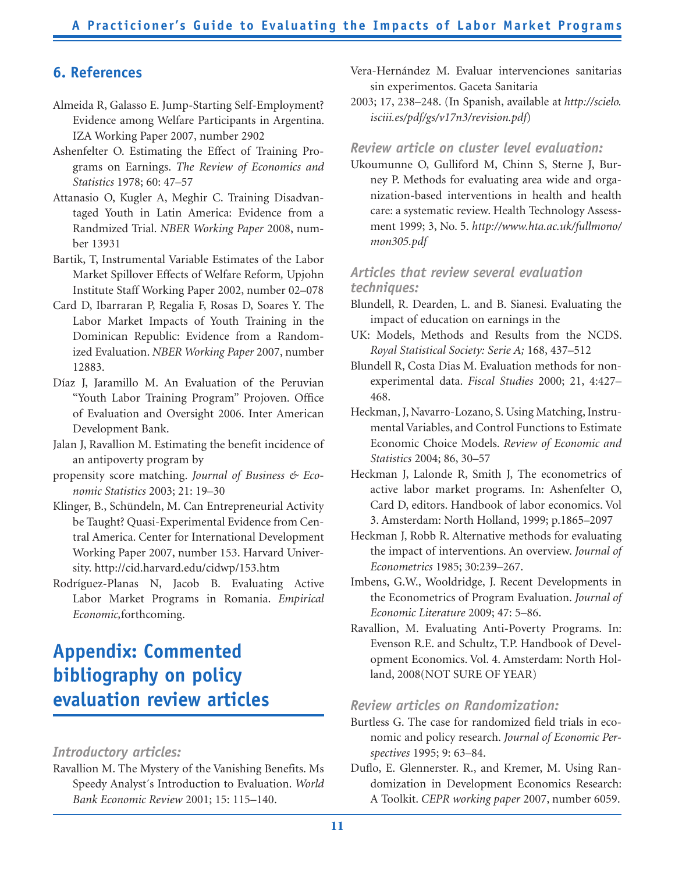## **6. References**

- Almeida R, Galasso E. Jump-Starting Self-Employment? Evidence among Welfare Participants in Argentina. IZA Working Paper 2007, number 2902
- Ashenfelter O. Estimating the Effect of Training Programs on Earnings. *The Review of Economics and Statistics* 1978; 60: 47–57
- Attanasio O, Kugler A, Meghir C. Training Disadvantaged Youth in Latin America: Evidence from a Randmized Trial. *NBER Working Paper* 2008, number 13931
- Bartik, T, Instrumental Variable Estimates of the Labor Market Spillover Effects of Welfare Reform*,* Upjohn Institute Staff Working Paper 2002, number 02–078
- Card D, Ibarraran P, Regalia F, Rosas D, Soares Y. The Labor Market Impacts of Youth Training in the Dominican Republic: Evidence from a Randomized Evaluation. *NBER Working Paper* 2007, number 12883.
- Díaz J, Jaramillo M. An Evaluation of the Peruvian "Youth Labor Training Program" Projoven. Office of Evaluation and Oversight 2006. Inter American Development Bank.
- Jalan J, Ravallion M. Estimating the benefit incidence of an antipoverty program by
- propensity score matching. *Journal of Business & Economic Statistics* 2003; 21: 19–30
- Klinger, B., Schündeln, M. Can Entrepreneurial Activity be Taught? Quasi-Experimental Evidence from Central America. Center for International Development Working Paper 2007, number 153. Harvard University. http://cid.harvard.edu/cidwp/153.htm
- Rodríguez-Planas N, Jacob B. Evaluating Active Labor Market Programs in Romania. *Empirical Economic,*forthcoming.

## **Appendix: Commented bibliography on policy evaluation review articles**

### *Introductory articles:*

Ravallion M. The Mystery of the Vanishing Benefits. Ms Speedy Analyst´s Introduction to Evaluation. *World Bank Economic Review* 2001; 15: 115–140.

- Vera-Hernández M. Evaluar intervenciones sanitarias sin experimentos. Gaceta Sanitaria
- 2003; 17, 238–248. (In Spanish, available at *http://scielo. isciii.es/pdf/gs/v17n3/revision.pdf*)

#### *Review article on cluster level evaluation:*

Ukoumunne O, Gulliford M, Chinn S, Sterne J, Burney P. Methods for evaluating area wide and organization-based interventions in health and health care: a systematic review. Health Technology Assessment 1999; 3, No. 5. *http://www.hta.ac.uk/fullmono/ mon305.pdf*

#### *Articles that review several evaluation techniques:*

- Blundell, R. Dearden, L. and B. Sianesi. Evaluating the impact of education on earnings in the
- UK: Models, Methods and Results from the NCDS. *Royal Statistical Society: Serie A;* 168, 437–512
- Blundell R, Costa Dias M. Evaluation methods for nonexperimental data. *Fiscal Studies* 2000; 21, 4:427– 468.
- Heckman, J, Navarro-Lozano, S. Using Matching, Instrumental Variables, and Control Functions to Estimate Economic Choice Models. *Review of Economic and Statistics* 2004; 86, 30–57
- Heckman J, Lalonde R, Smith J, The econometrics of active labor market programs. In: Ashenfelter O, Card D, editors. Handbook of labor economics. Vol 3. Amsterdam: North Holland, 1999; p.1865–2097
- Heckman J, Robb R. Alternative methods for evaluating the impact of interventions. An overview. *Journal of Econometrics* 1985; 30:239–267.
- Imbens, G.W., Wooldridge, J. Recent Developments in the Econometrics of Program Evaluation. *Journal of Economic Literature* 2009; 47: 5–86.
- Ravallion, M. Evaluating Anti-Poverty Programs. In: Evenson R.E. and Schultz, T.P. Handbook of Development Economics. Vol. 4. Amsterdam: North Holland, 2008(NOT SURE OF YEAR)

#### *Review articles on Randomization:*

- Burtless G. The case for randomized field trials in economic and policy research. *Journal of Economic Perspectives* 1995; 9: 63–84.
- Duflo, E. Glennerster. R., and Kremer, M. Using Randomization in Development Economics Research: A Toolkit. *CEPR working paper* 2007, number 6059.